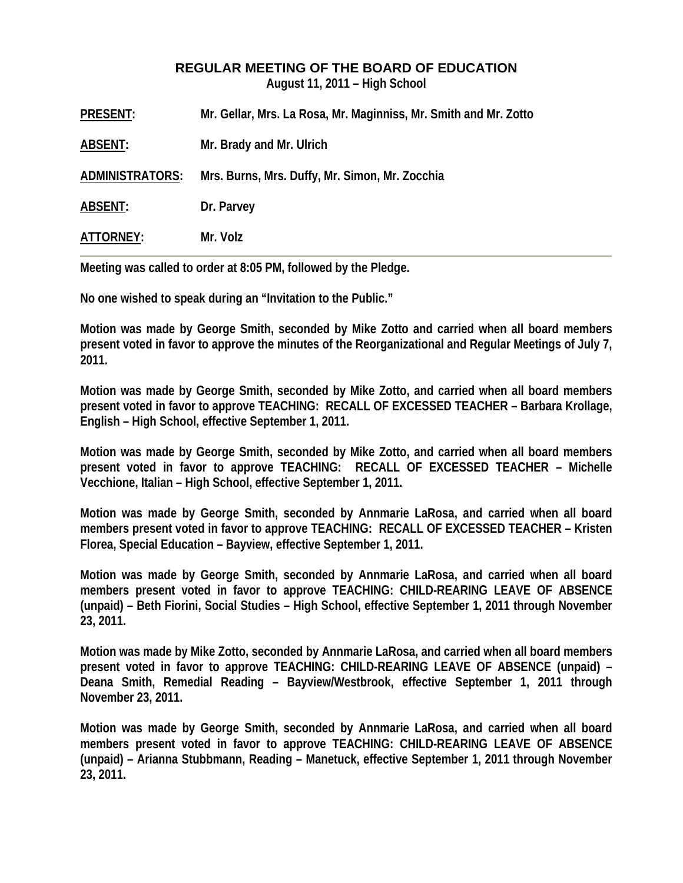## **REGULAR MEETING OF THE BOARD OF EDUCATION**

**August 11, 2011 – High School** 

| <b>PRESENT:</b>        | Mr. Gellar, Mrs. La Rosa, Mr. Maginniss, Mr. Smith and Mr. Zotto |
|------------------------|------------------------------------------------------------------|
| <b>ABSENT:</b>         | Mr. Brady and Mr. Ulrich                                         |
| <b>ADMINISTRATORS:</b> | Mrs. Burns, Mrs. Duffy, Mr. Simon, Mr. Zocchia                   |
| <b>ABSENT:</b>         | Dr. Parvey                                                       |
| ATTORNEY:              | Mr. Volz                                                         |

**Meeting was called to order at 8:05 PM, followed by the Pledge.** 

**No one wished to speak during an "Invitation to the Public."** 

**Motion was made by George Smith, seconded by Mike Zotto and carried when all board members present voted in favor to approve the minutes of the Reorganizational and Regular Meetings of July 7, 2011.** 

**Motion was made by George Smith, seconded by Mike Zotto, and carried when all board members present voted in favor to approve TEACHING: RECALL OF EXCESSED TEACHER – Barbara Krollage, English – High School, effective September 1, 2011.** 

**Motion was made by George Smith, seconded by Mike Zotto, and carried when all board members present voted in favor to approve TEACHING: RECALL OF EXCESSED TEACHER – Michelle Vecchione, Italian – High School, effective September 1, 2011.** 

**Motion was made by George Smith, seconded by Annmarie LaRosa, and carried when all board members present voted in favor to approve TEACHING: RECALL OF EXCESSED TEACHER – Kristen Florea, Special Education – Bayview, effective September 1, 2011.** 

**Motion was made by George Smith, seconded by Annmarie LaRosa, and carried when all board members present voted in favor to approve TEACHING: CHILD-REARING LEAVE OF ABSENCE (unpaid) – Beth Fiorini, Social Studies – High School, effective September 1, 2011 through November 23, 2011.** 

**Motion was made by Mike Zotto, seconded by Annmarie LaRosa, and carried when all board members present voted in favor to approve TEACHING: CHILD-REARING LEAVE OF ABSENCE (unpaid) – Deana Smith, Remedial Reading – Bayview/Westbrook, effective September 1, 2011 through November 23, 2011.** 

**Motion was made by George Smith, seconded by Annmarie LaRosa, and carried when all board members present voted in favor to approve TEACHING: CHILD-REARING LEAVE OF ABSENCE (unpaid) – Arianna Stubbmann, Reading – Manetuck, effective September 1, 2011 through November 23, 2011.**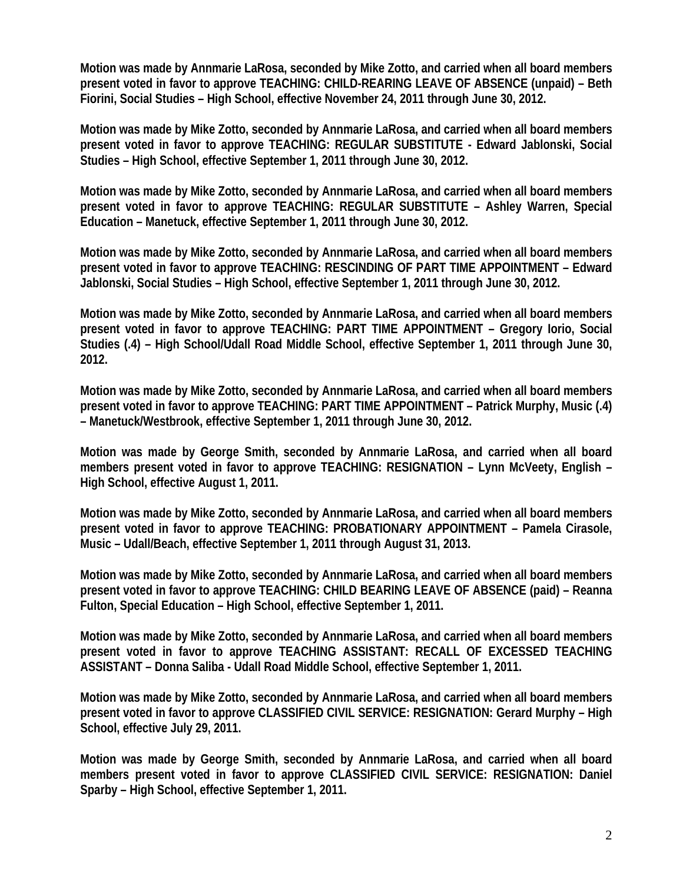**Motion was made by Annmarie LaRosa, seconded by Mike Zotto, and carried when all board members present voted in favor to approve TEACHING: CHILD-REARING LEAVE OF ABSENCE (unpaid) – Beth Fiorini, Social Studies – High School, effective November 24, 2011 through June 30, 2012.** 

**Motion was made by Mike Zotto, seconded by Annmarie LaRosa, and carried when all board members present voted in favor to approve TEACHING: REGULAR SUBSTITUTE - Edward Jablonski, Social Studies – High School, effective September 1, 2011 through June 30, 2012.** 

**Motion was made by Mike Zotto, seconded by Annmarie LaRosa, and carried when all board members present voted in favor to approve TEACHING: REGULAR SUBSTITUTE – Ashley Warren, Special Education – Manetuck, effective September 1, 2011 through June 30, 2012.** 

**Motion was made by Mike Zotto, seconded by Annmarie LaRosa, and carried when all board members present voted in favor to approve TEACHING: RESCINDING OF PART TIME APPOINTMENT – Edward Jablonski, Social Studies – High School, effective September 1, 2011 through June 30, 2012.** 

**Motion was made by Mike Zotto, seconded by Annmarie LaRosa, and carried when all board members present voted in favor to approve TEACHING: PART TIME APPOINTMENT – Gregory Iorio, Social Studies (.4) – High School/Udall Road Middle School, effective September 1, 2011 through June 30, 2012.** 

**Motion was made by Mike Zotto, seconded by Annmarie LaRosa, and carried when all board members present voted in favor to approve TEACHING: PART TIME APPOINTMENT – Patrick Murphy, Music (.4) – Manetuck/Westbrook, effective September 1, 2011 through June 30, 2012.** 

**Motion was made by George Smith, seconded by Annmarie LaRosa, and carried when all board members present voted in favor to approve TEACHING: RESIGNATION – Lynn McVeety, English – High School, effective August 1, 2011.** 

**Motion was made by Mike Zotto, seconded by Annmarie LaRosa, and carried when all board members present voted in favor to approve TEACHING: PROBATIONARY APPOINTMENT – Pamela Cirasole, Music – Udall/Beach, effective September 1, 2011 through August 31, 2013.** 

**Motion was made by Mike Zotto, seconded by Annmarie LaRosa, and carried when all board members present voted in favor to approve TEACHING: CHILD BEARING LEAVE OF ABSENCE (paid) – Reanna Fulton, Special Education – High School, effective September 1, 2011.** 

**Motion was made by Mike Zotto, seconded by Annmarie LaRosa, and carried when all board members present voted in favor to approve TEACHING ASSISTANT: RECALL OF EXCESSED TEACHING ASSISTANT – Donna Saliba - Udall Road Middle School, effective September 1, 2011.** 

**Motion was made by Mike Zotto, seconded by Annmarie LaRosa, and carried when all board members present voted in favor to approve CLASSIFIED CIVIL SERVICE: RESIGNATION: Gerard Murphy – High School, effective July 29, 2011.** 

**Motion was made by George Smith, seconded by Annmarie LaRosa, and carried when all board members present voted in favor to approve CLASSIFIED CIVIL SERVICE: RESIGNATION: Daniel Sparby – High School, effective September 1, 2011.**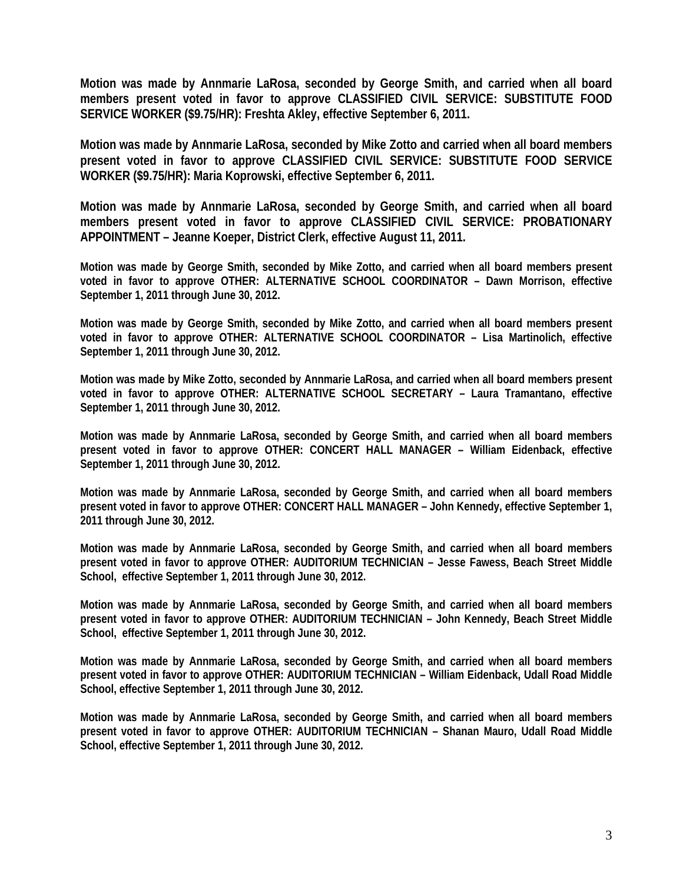**Motion was made by Annmarie LaRosa, seconded by George Smith, and carried when all board members present voted in favor to approve CLASSIFIED CIVIL SERVICE: SUBSTITUTE FOOD SERVICE WORKER (\$9.75/HR): Freshta Akley, effective September 6, 2011.** 

**Motion was made by Annmarie LaRosa, seconded by Mike Zotto and carried when all board members present voted in favor to approve CLASSIFIED CIVIL SERVICE: SUBSTITUTE FOOD SERVICE WORKER (\$9.75/HR): Maria Koprowski, effective September 6, 2011.** 

**Motion was made by Annmarie LaRosa, seconded by George Smith, and carried when all board members present voted in favor to approve CLASSIFIED CIVIL SERVICE: PROBATIONARY APPOINTMENT – Jeanne Koeper, District Clerk, effective August 11, 2011.** 

**Motion was made by George Smith, seconded by Mike Zotto, and carried when all board members present voted in favor to approve OTHER: ALTERNATIVE SCHOOL COORDINATOR – Dawn Morrison, effective September 1, 2011 through June 30, 2012.** 

**Motion was made by George Smith, seconded by Mike Zotto, and carried when all board members present voted in favor to approve OTHER: ALTERNATIVE SCHOOL COORDINATOR – Lisa Martinolich, effective September 1, 2011 through June 30, 2012.** 

**Motion was made by Mike Zotto, seconded by Annmarie LaRosa, and carried when all board members present voted in favor to approve OTHER: ALTERNATIVE SCHOOL SECRETARY – Laura Tramantano, effective September 1, 2011 through June 30, 2012.** 

**Motion was made by Annmarie LaRosa, seconded by George Smith, and carried when all board members present voted in favor to approve OTHER: CONCERT HALL MANAGER – William Eidenback, effective September 1, 2011 through June 30, 2012.** 

**Motion was made by Annmarie LaRosa, seconded by George Smith, and carried when all board members present voted in favor to approve OTHER: CONCERT HALL MANAGER – John Kennedy, effective September 1, 2011 through June 30, 2012.** 

**Motion was made by Annmarie LaRosa, seconded by George Smith, and carried when all board members present voted in favor to approve OTHER: AUDITORIUM TECHNICIAN – Jesse Fawess, Beach Street Middle School, effective September 1, 2011 through June 30, 2012.** 

**Motion was made by Annmarie LaRosa, seconded by George Smith, and carried when all board members present voted in favor to approve OTHER: AUDITORIUM TECHNICIAN – John Kennedy, Beach Street Middle School, effective September 1, 2011 through June 30, 2012.** 

**Motion was made by Annmarie LaRosa, seconded by George Smith, and carried when all board members present voted in favor to approve OTHER: AUDITORIUM TECHNICIAN – William Eidenback, Udall Road Middle School, effective September 1, 2011 through June 30, 2012.** 

**Motion was made by Annmarie LaRosa, seconded by George Smith, and carried when all board members present voted in favor to approve OTHER: AUDITORIUM TECHNICIAN – Shanan Mauro, Udall Road Middle School, effective September 1, 2011 through June 30, 2012.**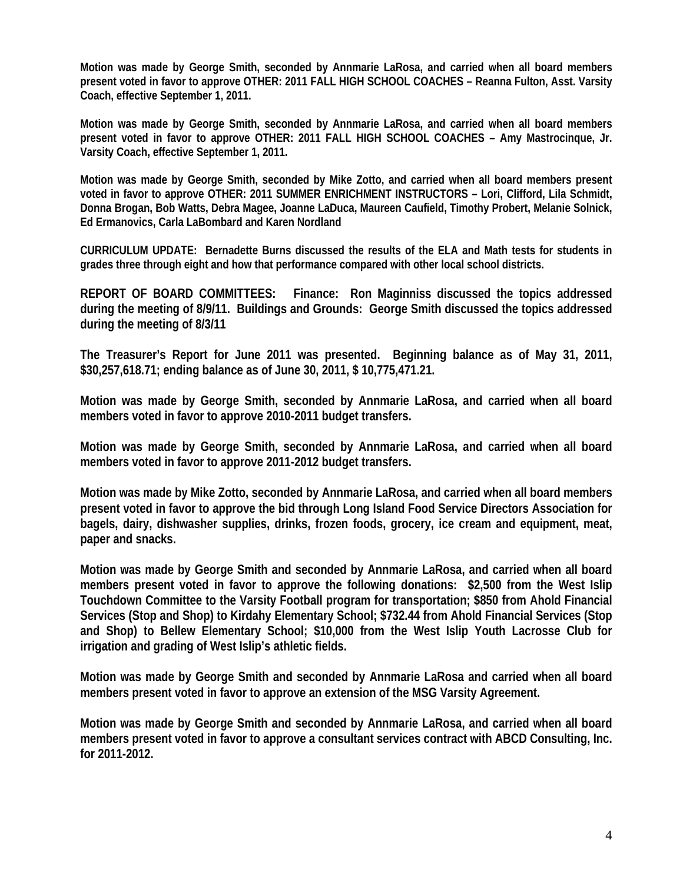**Motion was made by George Smith, seconded by Annmarie LaRosa, and carried when all board members present voted in favor to approve OTHER: 2011 FALL HIGH SCHOOL COACHES – Reanna Fulton, Asst. Varsity Coach, effective September 1, 2011.** 

**Motion was made by George Smith, seconded by Annmarie LaRosa, and carried when all board members present voted in favor to approve OTHER: 2011 FALL HIGH SCHOOL COACHES – Amy Mastrocinque, Jr. Varsity Coach, effective September 1, 2011.** 

**Motion was made by George Smith, seconded by Mike Zotto, and carried when all board members present voted in favor to approve OTHER: 2011 SUMMER ENRICHMENT INSTRUCTORS – Lori, Clifford, Lila Schmidt, Donna Brogan, Bob Watts, Debra Magee, Joanne LaDuca, Maureen Caufield, Timothy Probert, Melanie Solnick, Ed Ermanovics, Carla LaBombard and Karen Nordland** 

**CURRICULUM UPDATE: Bernadette Burns discussed the results of the ELA and Math tests for students in grades three through eight and how that performance compared with other local school districts.** 

**REPORT OF BOARD COMMITTEES: Finance: Ron Maginniss discussed the topics addressed during the meeting of 8/9/11. Buildings and Grounds: George Smith discussed the topics addressed during the meeting of 8/3/11** 

**The Treasurer's Report for June 2011 was presented. Beginning balance as of May 31, 2011, \$30,257,618.71; ending balance as of June 30, 2011, \$ 10,775,471.21.** 

**Motion was made by George Smith, seconded by Annmarie LaRosa, and carried when all board members voted in favor to approve 2010-2011 budget transfers.** 

**Motion was made by George Smith, seconded by Annmarie LaRosa, and carried when all board members voted in favor to approve 2011-2012 budget transfers.** 

**Motion was made by Mike Zotto, seconded by Annmarie LaRosa, and carried when all board members present voted in favor to approve the bid through Long Island Food Service Directors Association for bagels, dairy, dishwasher supplies, drinks, frozen foods, grocery, ice cream and equipment, meat, paper and snacks.** 

**Motion was made by George Smith and seconded by Annmarie LaRosa, and carried when all board members present voted in favor to approve the following donations: \$2,500 from the West Islip Touchdown Committee to the Varsity Football program for transportation; \$850 from Ahold Financial Services (Stop and Shop) to Kirdahy Elementary School; \$732.44 from Ahold Financial Services (Stop and Shop) to Bellew Elementary School; \$10,000 from the West Islip Youth Lacrosse Club for irrigation and grading of West Islip's athletic fields.** 

**Motion was made by George Smith and seconded by Annmarie LaRosa and carried when all board members present voted in favor to approve an extension of the MSG Varsity Agreement.** 

**Motion was made by George Smith and seconded by Annmarie LaRosa, and carried when all board members present voted in favor to approve a consultant services contract with ABCD Consulting, Inc. for 2011-2012.**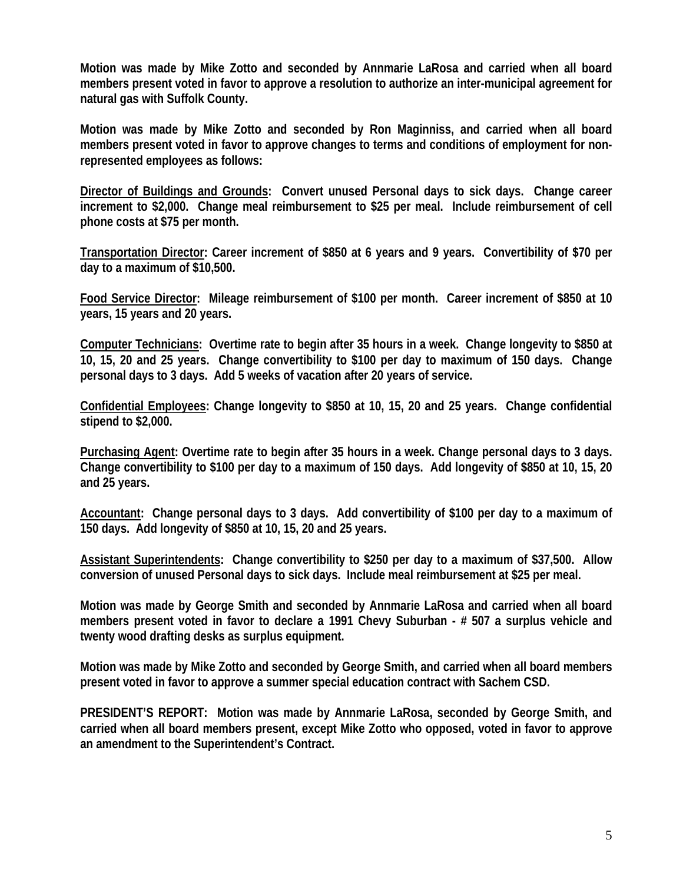**Motion was made by Mike Zotto and seconded by Annmarie LaRosa and carried when all board members present voted in favor to approve a resolution to authorize an inter-municipal agreement for natural gas with Suffolk County.** 

**Motion was made by Mike Zotto and seconded by Ron Maginniss, and carried when all board members present voted in favor to approve changes to terms and conditions of employment for nonrepresented employees as follows:**

**Director of Buildings and Grounds: Convert unused Personal days to sick days. Change career increment to \$2,000. Change meal reimbursement to \$25 per meal. Include reimbursement of cell phone costs at \$75 per month.** 

**Transportation Director: Career increment of \$850 at 6 years and 9 years. Convertibility of \$70 per day to a maximum of \$10,500.** 

**Food Service Director: Mileage reimbursement of \$100 per month. Career increment of \$850 at 10 years, 15 years and 20 years.** 

**Computer Technicians: Overtime rate to begin after 35 hours in a week. Change longevity to \$850 at 10, 15, 20 and 25 years. Change convertibility to \$100 per day to maximum of 150 days. Change personal days to 3 days. Add 5 weeks of vacation after 20 years of service.** 

**Confidential Employees: Change longevity to \$850 at 10, 15, 20 and 25 years. Change confidential stipend to \$2,000.** 

**Purchasing Agent: Overtime rate to begin after 35 hours in a week. Change personal days to 3 days. Change convertibility to \$100 per day to a maximum of 150 days. Add longevity of \$850 at 10, 15, 20 and 25 years.** 

**Accountant: Change personal days to 3 days. Add convertibility of \$100 per day to a maximum of 150 days. Add longevity of \$850 at 10, 15, 20 and 25 years.** 

**Assistant Superintendents: Change convertibility to \$250 per day to a maximum of \$37,500. Allow conversion of unused Personal days to sick days. Include meal reimbursement at \$25 per meal.**

**Motion was made by George Smith and seconded by Annmarie LaRosa and carried when all board members present voted in favor to declare a 1991 Chevy Suburban - # 507 a surplus vehicle and twenty wood drafting desks as surplus equipment.** 

**Motion was made by Mike Zotto and seconded by George Smith, and carried when all board members present voted in favor to approve a summer special education contract with Sachem CSD.** 

**PRESIDENT'S REPORT: Motion was made by Annmarie LaRosa, seconded by George Smith, and carried when all board members present, except Mike Zotto who opposed, voted in favor to approve an amendment to the Superintendent's Contract.**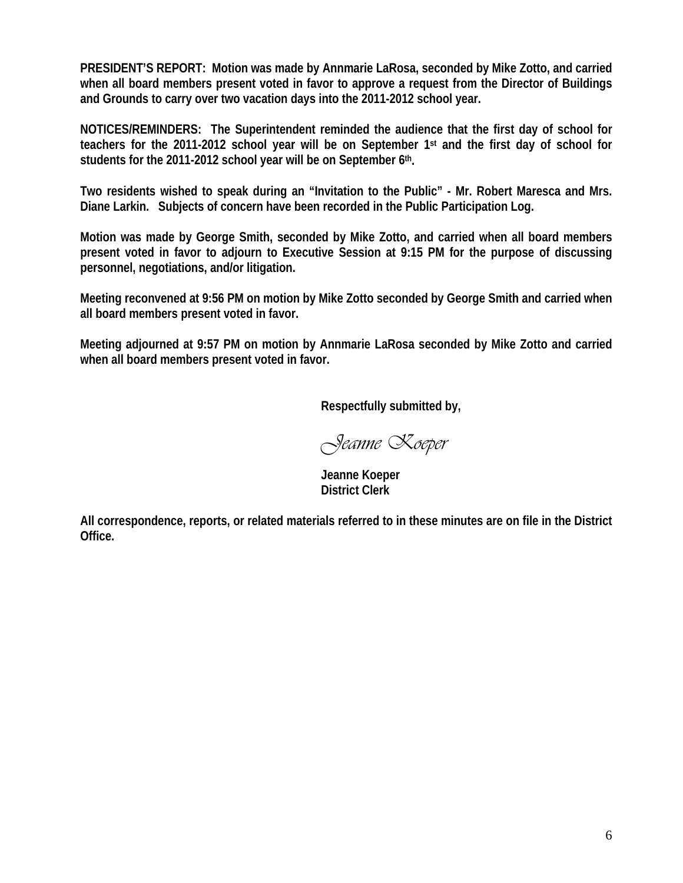**PRESIDENT'S REPORT: Motion was made by Annmarie LaRosa, seconded by Mike Zotto, and carried when all board members present voted in favor to approve a request from the Director of Buildings and Grounds to carry over two vacation days into the 2011-2012 school year.** 

**NOTICES/REMINDERS: The Superintendent reminded the audience that the first day of school for teachers for the 2011-2012 school year will be on September 1st and the first day of school for**  students for the 2011-2012 school year will be on September 6<sup>th</sup>.

**Two residents wished to speak during an "Invitation to the Public" - Mr. Robert Maresca and Mrs. Diane Larkin. Subjects of concern have been recorded in the Public Participation Log.** 

**Motion was made by George Smith, seconded by Mike Zotto, and carried when all board members present voted in favor to adjourn to Executive Session at 9:15 PM for the purpose of discussing personnel, negotiations, and/or litigation.** 

**Meeting reconvened at 9:56 PM on motion by Mike Zotto seconded by George Smith and carried when all board members present voted in favor.** 

**Meeting adjourned at 9:57 PM on motion by Annmarie LaRosa seconded by Mike Zotto and carried when all board members present voted in favor.** 

 **Respectfully submitted by,** 

*Jeanne Koeper* 

 **Jeanne Koeper District Clerk** 

**All correspondence, reports, or related materials referred to in these minutes are on file in the District Office.**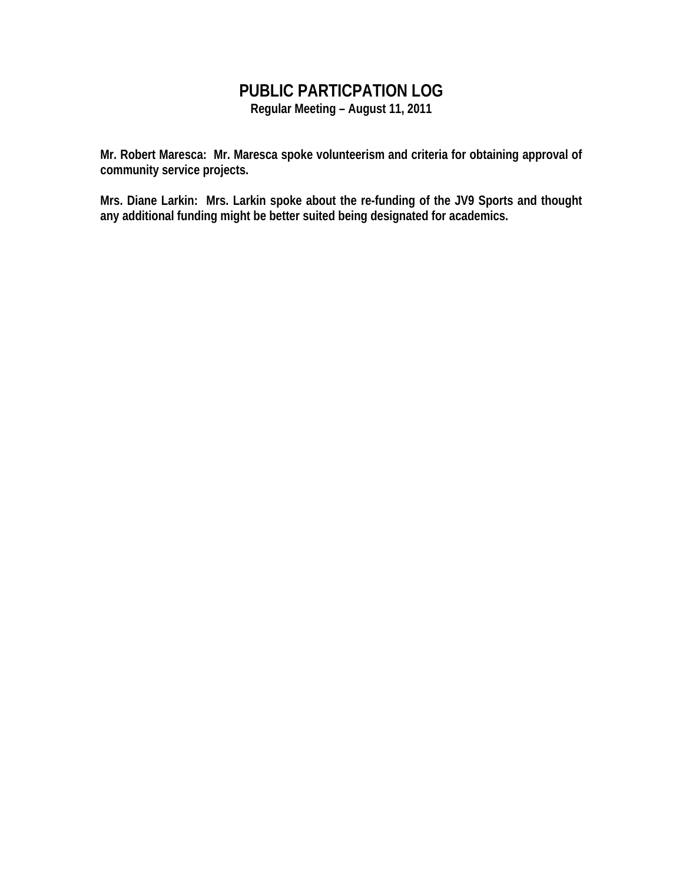## **PUBLIC PARTICPATION LOG**

**Regular Meeting – August 11, 2011** 

**Mr. Robert Maresca: Mr. Maresca spoke volunteerism and criteria for obtaining approval of community service projects.** 

**Mrs. Diane Larkin: Mrs. Larkin spoke about the re-funding of the JV9 Sports and thought any additional funding might be better suited being designated for academics.**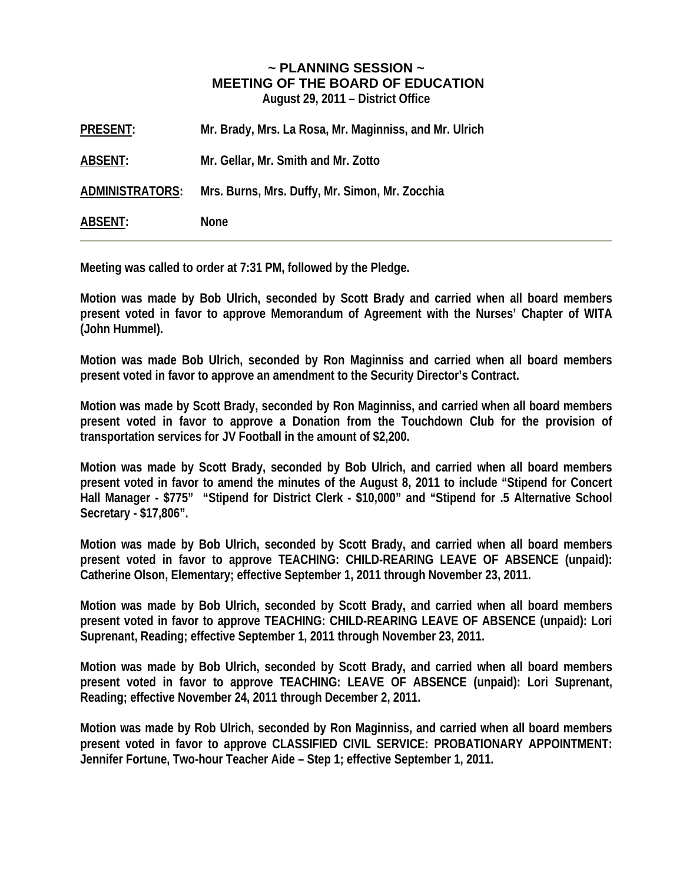## **~ PLANNING SESSION ~ MEETING OF THE BOARD OF EDUCATION**

**August 29, 2011 – District Office** 

| <b>PRESENT:</b> | Mr. Brady, Mrs. La Rosa, Mr. Maginniss, and Mr. Ulrich |
|-----------------|--------------------------------------------------------|
| ABSENT:         | Mr. Gellar, Mr. Smith and Mr. Zotto                    |
| ADMINISTRATORS: | Mrs. Burns, Mrs. Duffy, Mr. Simon, Mr. Zocchia         |
| <b>ABSENT:</b>  | <b>None</b>                                            |

**Meeting was called to order at 7:31 PM, followed by the Pledge.** 

**Motion was made by Bob Ulrich, seconded by Scott Brady and carried when all board members present voted in favor to approve Memorandum of Agreement with the Nurses' Chapter of WITA (John Hummel).** 

**Motion was made Bob Ulrich, seconded by Ron Maginniss and carried when all board members present voted in favor to approve an amendment to the Security Director's Contract.** 

**Motion was made by Scott Brady, seconded by Ron Maginniss, and carried when all board members present voted in favor to approve a Donation from the Touchdown Club for the provision of transportation services for JV Football in the amount of \$2,200.** 

**Motion was made by Scott Brady, seconded by Bob Ulrich, and carried when all board members present voted in favor to amend the minutes of the August 8, 2011 to include "Stipend for Concert Hall Manager - \$775" "Stipend for District Clerk - \$10,000" and "Stipend for .5 Alternative School Secretary - \$17,806".** 

**Motion was made by Bob Ulrich, seconded by Scott Brady, and carried when all board members present voted in favor to approve TEACHING: CHILD-REARING LEAVE OF ABSENCE (unpaid): Catherine Olson, Elementary; effective September 1, 2011 through November 23, 2011.** 

**Motion was made by Bob Ulrich, seconded by Scott Brady, and carried when all board members present voted in favor to approve TEACHING: CHILD-REARING LEAVE OF ABSENCE (unpaid): Lori Suprenant, Reading; effective September 1, 2011 through November 23, 2011.** 

**Motion was made by Bob Ulrich, seconded by Scott Brady, and carried when all board members present voted in favor to approve TEACHING: LEAVE OF ABSENCE (unpaid): Lori Suprenant, Reading; effective November 24, 2011 through December 2, 2011.** 

**Motion was made by Rob Ulrich, seconded by Ron Maginniss, and carried when all board members present voted in favor to approve CLASSIFIED CIVIL SERVICE: PROBATIONARY APPOINTMENT: Jennifer Fortune, Two-hour Teacher Aide – Step 1; effective September 1, 2011.**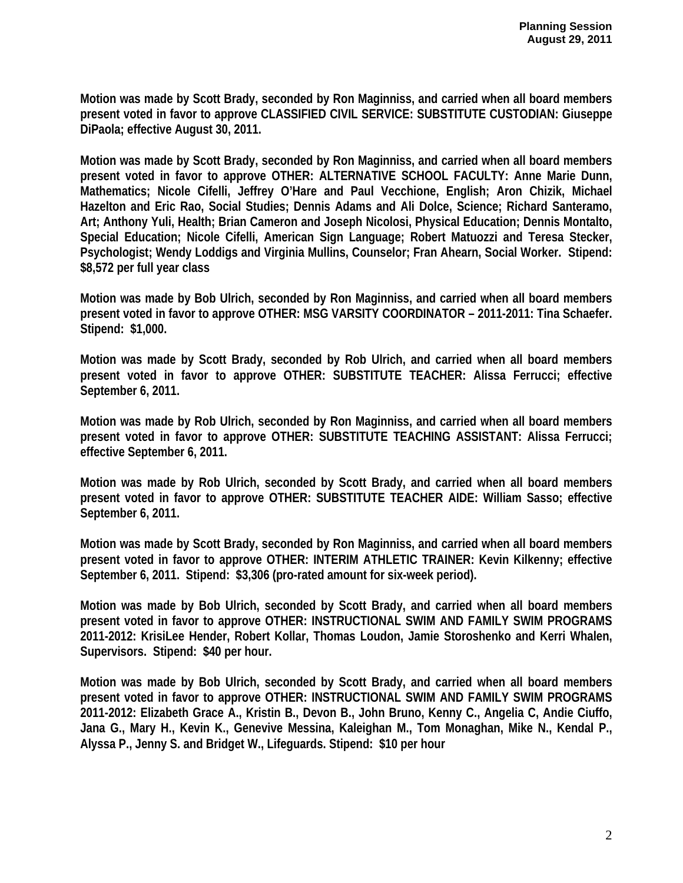**Motion was made by Scott Brady, seconded by Ron Maginniss, and carried when all board members present voted in favor to approve CLASSIFIED CIVIL SERVICE: SUBSTITUTE CUSTODIAN: Giuseppe DiPaola; effective August 30, 2011.** 

**Motion was made by Scott Brady, seconded by Ron Maginniss, and carried when all board members present voted in favor to approve OTHER: ALTERNATIVE SCHOOL FACULTY: Anne Marie Dunn, Mathematics; Nicole Cifelli, Jeffrey O'Hare and Paul Vecchione, English; Aron Chizik, Michael Hazelton and Eric Rao, Social Studies; Dennis Adams and Ali Dolce, Science; Richard Santeramo, Art; Anthony Yuli, Health; Brian Cameron and Joseph Nicolosi, Physical Education; Dennis Montalto, Special Education; Nicole Cifelli, American Sign Language; Robert Matuozzi and Teresa Stecker, Psychologist; Wendy Loddigs and Virginia Mullins, Counselor; Fran Ahearn, Social Worker. Stipend: \$8,572 per full year class** 

**Motion was made by Bob Ulrich, seconded by Ron Maginniss, and carried when all board members present voted in favor to approve OTHER: MSG VARSITY COORDINATOR – 2011-2011: Tina Schaefer. Stipend: \$1,000.** 

**Motion was made by Scott Brady, seconded by Rob Ulrich, and carried when all board members present voted in favor to approve OTHER: SUBSTITUTE TEACHER: Alissa Ferrucci; effective September 6, 2011.** 

**Motion was made by Rob Ulrich, seconded by Ron Maginniss, and carried when all board members present voted in favor to approve OTHER: SUBSTITUTE TEACHING ASSISTANT: Alissa Ferrucci; effective September 6, 2011.** 

**Motion was made by Rob Ulrich, seconded by Scott Brady, and carried when all board members present voted in favor to approve OTHER: SUBSTITUTE TEACHER AIDE: William Sasso; effective September 6, 2011.** 

**Motion was made by Scott Brady, seconded by Ron Maginniss, and carried when all board members present voted in favor to approve OTHER: INTERIM ATHLETIC TRAINER: Kevin Kilkenny; effective September 6, 2011. Stipend: \$3,306 (pro-rated amount for six-week period).** 

**Motion was made by Bob Ulrich, seconded by Scott Brady, and carried when all board members present voted in favor to approve OTHER: INSTRUCTIONAL SWIM AND FAMILY SWIM PROGRAMS 2011-2012: KrisiLee Hender, Robert Kollar, Thomas Loudon, Jamie Storoshenko and Kerri Whalen, Supervisors. Stipend: \$40 per hour.** 

**Motion was made by Bob Ulrich, seconded by Scott Brady, and carried when all board members present voted in favor to approve OTHER: INSTRUCTIONAL SWIM AND FAMILY SWIM PROGRAMS 2011-2012: Elizabeth Grace A., Kristin B., Devon B., John Bruno, Kenny C., Angelia C, Andie Ciuffo, Jana G., Mary H., Kevin K., Genevive Messina, Kaleighan M., Tom Monaghan, Mike N., Kendal P., Alyssa P., Jenny S. and Bridget W., Lifeguards. Stipend: \$10 per hour**